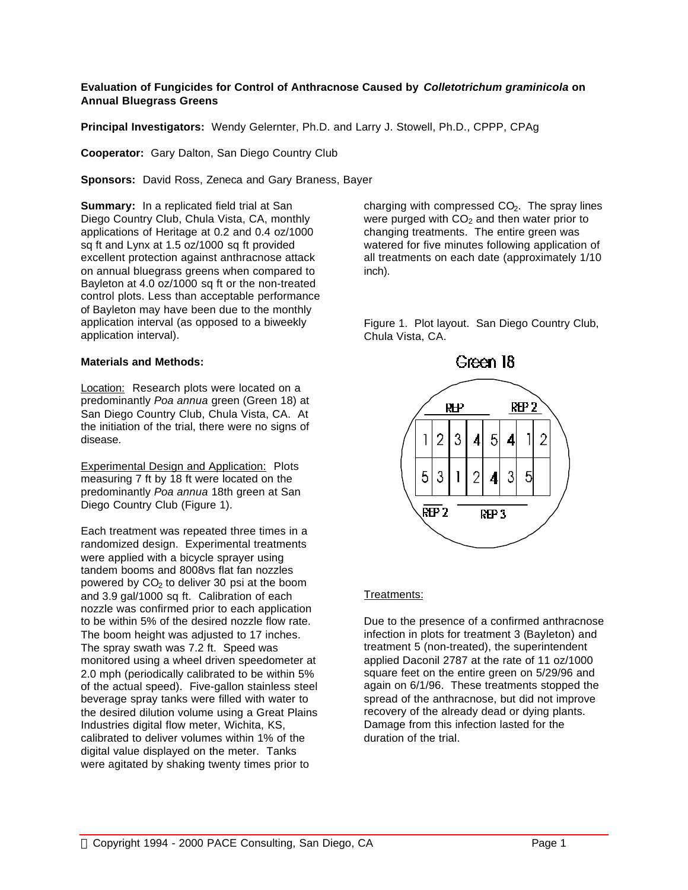## **Evaluation of Fungicides for Control of Anthracnose Caused by** *Colletotrichum graminicola* **on Annual Bluegrass Greens**

**Principal Investigators:** Wendy Gelernter, Ph.D. and Larry J. Stowell, Ph.D., CPPP, CPAg

**Cooperator:** Gary Dalton, San Diego Country Club

**Sponsors:** David Ross, Zeneca and Gary Braness, Bayer

**Summary:** In a replicated field trial at San Diego Country Club, Chula Vista, CA, monthly applications of Heritage at 0.2 and 0.4 oz/1000 sq ft and Lynx at 1.5 oz/1000 sq ft provided excellent protection against anthracnose attack on annual bluegrass greens when compared to Bayleton at 4.0 oz/1000 sq ft or the non-treated control plots. Less than acceptable performance of Bayleton may have been due to the monthly application interval (as opposed to a biweekly application interval).

## **Materials and Methods:**

Location: Research plots were located on a predominantly *Poa annua* green (Green 18) at San Diego Country Club, Chula Vista, CA. At the initiation of the trial, there were no signs of disease.

Experimental Design and Application: Plots measuring 7 ft by 18 ft were located on the predominantly *Poa annua* 18th green at San Diego Country Club (Figure 1).

Each treatment was repeated three times in a randomized design. Experimental treatments were applied with a bicycle sprayer using tandem booms and 8008vs flat fan nozzles powered by  $CO<sub>2</sub>$  to deliver 30 psi at the boom and 3.9 gal/1000 sq ft. Calibration of each nozzle was confirmed prior to each application to be within 5% of the desired nozzle flow rate. The boom height was adjusted to 17 inches. The spray swath was 7.2 ft. Speed was monitored using a wheel driven speedometer at 2.0 mph (periodically calibrated to be within 5% of the actual speed). Five-gallon stainless steel beverage spray tanks were filled with water to the desired dilution volume using a Great Plains Industries digital flow meter, Wichita, KS, calibrated to deliver volumes within 1% of the digital value displayed on the meter. Tanks were agitated by shaking twenty times prior to

charging with compressed  $CO<sub>2</sub>$ . The spray lines were purged with  $CO<sub>2</sub>$  and then water prior to changing treatments. The entire green was watered for five minutes following application of all treatments on each date (approximately 1/10 inch).

Figure 1. Plot layout. San Diego Country Club, Chula Vista, CA.



# Treatments:

Due to the presence of a confirmed anthracnose infection in plots for treatment 3 (Bayleton) and treatment 5 (non-treated), the superintendent applied Daconil 2787 at the rate of 11 oz/1000 square feet on the entire green on 5/29/96 and again on 6/1/96. These treatments stopped the spread of the anthracnose, but did not improve recovery of the already dead or dying plants. Damage from this infection lasted for the duration of the trial.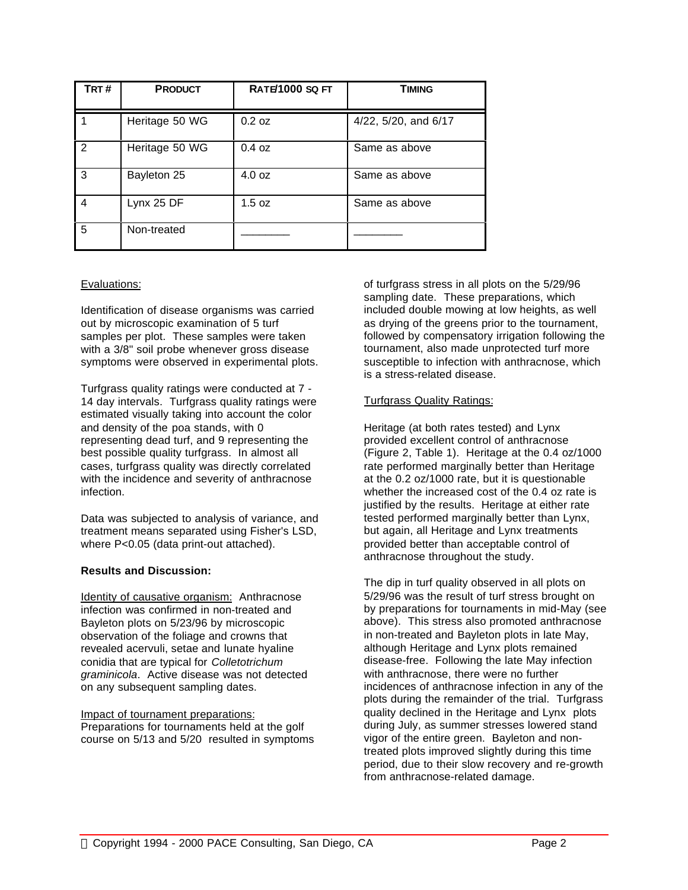| TRT# | <b>PRODUCT</b> | <b>RATE/1000 SQ FT</b> | <b>TIMING</b>        |  |  |
|------|----------------|------------------------|----------------------|--|--|
|      | Heritage 50 WG | 0.2 oz                 | 4/22, 5/20, and 6/17 |  |  |
| 2    | Heritage 50 WG | 0.4 oz                 | Same as above        |  |  |
| 3    | Bayleton 25    | 4.0 oz                 | Same as above        |  |  |
| 4    | Lynx 25 DF     | 1.5 oz                 | Same as above        |  |  |
| 5    | Non-treated    |                        |                      |  |  |

# Evaluations:

Identification of disease organisms was carried out by microscopic examination of 5 turf samples per plot. These samples were taken with a 3/8" soil probe whenever gross disease symptoms were observed in experimental plots.

Turfgrass quality ratings were conducted at 7 - 14 day intervals. Turfgrass quality ratings were estimated visually taking into account the color and density of the poa stands, with 0 representing dead turf, and 9 representing the best possible quality turfgrass. In almost all cases, turfgrass quality was directly correlated with the incidence and severity of anthracnose infection.

Data was subjected to analysis of variance, and treatment means separated using Fisher's LSD, where P<0.05 (data print-out attached).

#### **Results and Discussion:**

Identity of causative organism: Anthracnose infection was confirmed in non-treated and Bayleton plots on 5/23/96 by microscopic observation of the foliage and crowns that revealed acervuli, setae and lunate hyaline conidia that are typical for *Colletotrichum graminicola*. Active disease was not detected on any subsequent sampling dates.

#### Impact of tournament preparations:

Preparations for tournaments held at the golf course on 5/13 and 5/20 resulted in symptoms of turfgrass stress in all plots on the 5/29/96 sampling date. These preparations, which included double mowing at low heights, as well as drying of the greens prior to the tournament, followed by compensatory irrigation following the tournament, also made unprotected turf more susceptible to infection with anthracnose, which is a stress-related disease.

## Turfgrass Quality Ratings:

Heritage (at both rates tested) and Lynx provided excellent control of anthracnose (Figure 2, Table 1). Heritage at the 0.4 oz/1000 rate performed marginally better than Heritage at the 0.2 oz/1000 rate, but it is questionable whether the increased cost of the 0.4 oz rate is justified by the results. Heritage at either rate tested performed marginally better than Lynx, but again, all Heritage and Lynx treatments provided better than acceptable control of anthracnose throughout the study.

The dip in turf quality observed in all plots on 5/29/96 was the result of turf stress brought on by preparations for tournaments in mid-May (see above). This stress also promoted anthracnose in non-treated and Bayleton plots in late May, although Heritage and Lynx plots remained disease-free. Following the late May infection with anthracnose, there were no further incidences of anthracnose infection in any of the plots during the remainder of the trial. Turfgrass quality declined in the Heritage and Lynx plots during July, as summer stresses lowered stand vigor of the entire green. Bayleton and nontreated plots improved slightly during this time period, due to their slow recovery and re-growth from anthracnose-related damage.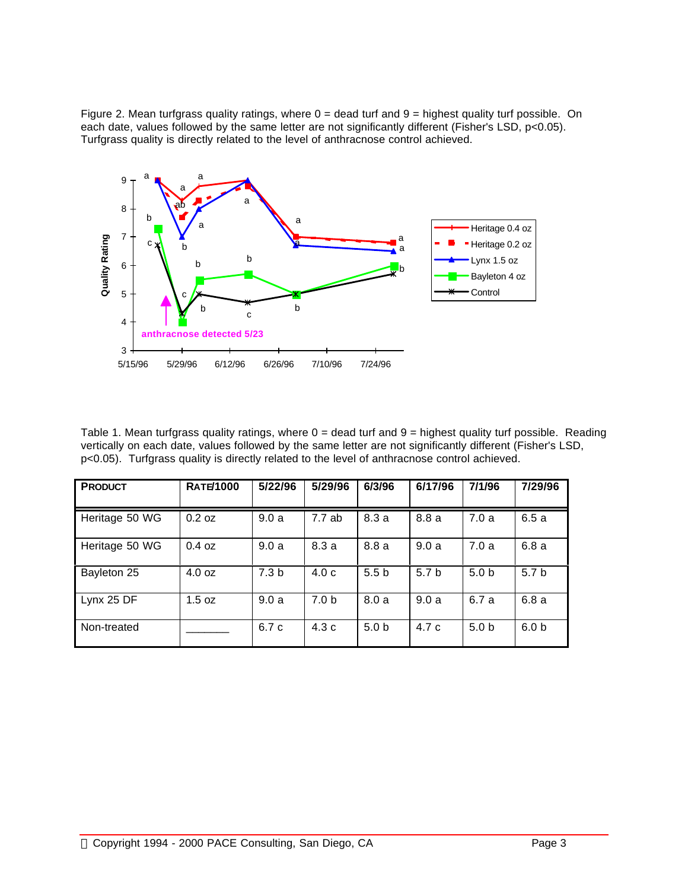Figure 2. Mean turfgrass quality ratings, where  $0 =$  dead turf and  $9 =$  highest quality turf possible. On each date, values followed by the same letter are not significantly different (Fisher's LSD, p<0.05). Turfgrass quality is directly related to the level of anthracnose control achieved.



Table 1. Mean turfgrass quality ratings, where  $0 =$  dead turf and  $9 =$  highest quality turf possible. Reading vertically on each date, values followed by the same letter are not significantly different (Fisher's LSD, p<0.05). Turfgrass quality is directly related to the level of anthracnose control achieved.

| <b>PRODUCT</b> | <b>RATE/1000</b> | 5/22/96          | 5/29/96          | 6/3/96           | 6/17/96          | 7/1/96           | 7/29/96          |
|----------------|------------------|------------------|------------------|------------------|------------------|------------------|------------------|
| Heritage 50 WG | $0.2$ oz         | 9.0a             | 7.7ab            | 8.3a             | 8.8 a            | 7.0a             | 6.5a             |
| Heritage 50 WG | $0.4$ oz         | 9.0a             | 8.3a             | 8.8a             | 9.0a             | 7.0a             | 6.8a             |
| Bayleton 25    | 4.0 oz           | 7.3 <sub>b</sub> | 4.0 <sub>c</sub> | 5.5 <sub>b</sub> | 5.7 <sub>b</sub> | 5.0 <sub>b</sub> | 5.7 b            |
| Lynx 25 DF     | 1.5 oz           | 9.0a             | 7.0 <sub>b</sub> | 8.0a             | 9.0a             | 6.7 a            | 6.8 a            |
| Non-treated    |                  | 6.7 c            | 4.3c             | 5.0 <sub>b</sub> | 4.7c             | 5.0 <sub>b</sub> | 6.0 <sub>b</sub> |